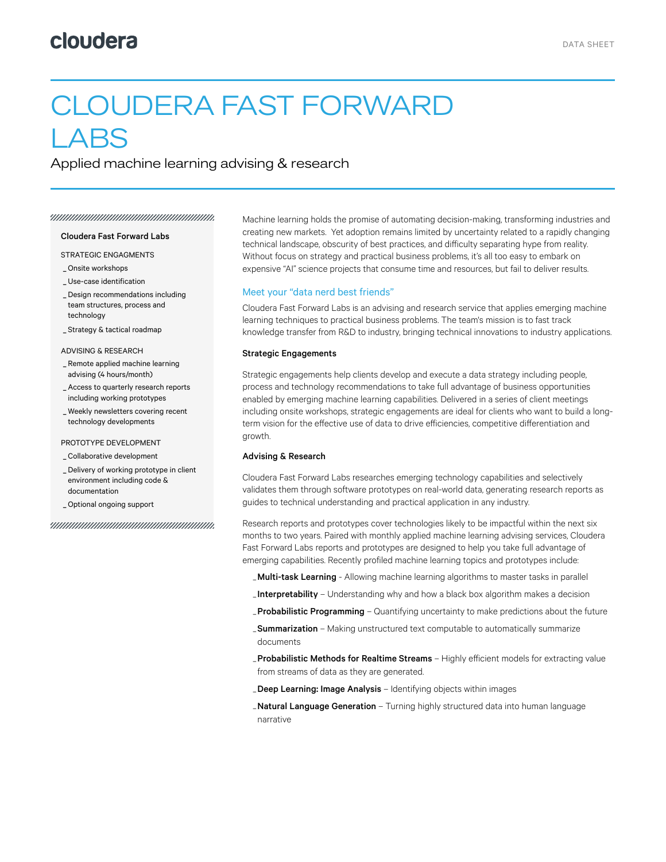# CLOUDERA FAST FORWARD LABS

Applied machine learning advising & research

#### 

#### Cloudera Fast Forward Labs

STRATEGIC ENGAGMENTS

- \_ Onsite workshops
- \_ Use-case identification
- Design recommendations including \_ team structures, process and technology
- \_ Strategy & tactical roadmap

ADVISING & RESEARCH

- Remote applied machine learning \_ advising (4 hours/month)
- Access to quarterly research reports \_ including working prototypes
- Weekly newsletters covering recent \_ technology developments

#### PROTOTYPE DEVELOPMENT

\_ Collaborative development

- Delivery of working prototype in client \_ environment including code & documentation
- \_ Optional ongoing support

Machine learning holds the promise of automating decision-making, transforming industries and creating new markets. Yet adoption remains limited by uncertainty related to a rapidly changing technical landscape, obscurity of best practices, and difficulty separating hype from reality. Without focus on strategy and practical business problems, it's all too easy to embark on expensive "AI" science projects that consume time and resources, but fail to deliver results.

### Meet your "data nerd best friends"

Cloudera Fast Forward Labs is an advising and research service that applies emerging machine learning techniques to practical business problems. The team's mission is to fast track knowledge transfer from R&D to industry, bringing technical innovations to industry applications.

## Strategic Engagements

Strategic engagements help clients develop and execute a data strategy including people, process and technology recommendations to take full advantage of business opportunities enabled by emerging machine learning capabilities. Delivered in a series of client meetings including onsite workshops, strategic engagements are ideal for clients who want to build a longterm vision for the effective use of data to drive efficiencies, competitive differentiation and growth.

#### Advising & Research

Cloudera Fast Forward Labs researches emerging technology capabilities and selectively validates them through software prototypes on real-world data, generating research reports as guides to technical understanding and practical application in any industry.

Research reports and prototypes cover technologies likely to be impactful within the next six months to two years. Paired with monthly applied machine learning advising services, Cloudera Fast Forward Labs reports and prototypes are designed to help you take full advantage of emerging capabilities. Recently profiled machine learning topics and prototypes include:

- **\_Multi-task Learning** Allowing machine learning algorithms to master tasks in parallel
- **\_Interpretability** Understanding why and how a black box algorithm makes a decision
- **\_Probabilistic Programming** Quantifying uncertainty to make predictions about the future
- \_Summarization Making unstructured text computable to automatically summarize documents
- Probabilistic Methods for Realtime Streams Highly efficient models for extracting value from streams of data as they are generated.
- \_Deep Learning: Image Analysis Identifying objects within images
- Natural Language Generation Turning highly structured data into human language narrative